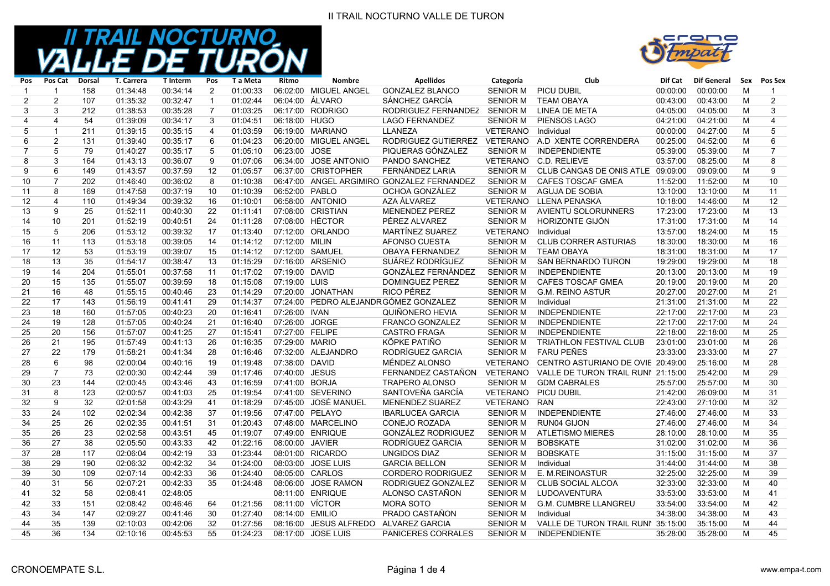### II TRAIL NOCTURNO VALLE DE TURON



| Pos            | Pos Cat        | <b>Dorsal</b> | <b>T. Carrera</b> | <b>T</b> Interm | Pos            | T a Meta | Ritmo           | <b>Nombre</b>          | <b>Apellidos</b>                           | Categoría       | Club                               | Dif Cat  | Dif General | Sex | Pos Sex        |
|----------------|----------------|---------------|-------------------|-----------------|----------------|----------|-----------------|------------------------|--------------------------------------------|-----------------|------------------------------------|----------|-------------|-----|----------------|
| $\mathbf{1}$   | $\mathbf{1}$   | 158           | 01:34:48          | 00:34:14        | 2              | 01:00:33 |                 | 06:02:00 MIGUEL ANGEL  | <b>GONZALEZ BLANCO</b>                     | <b>SENIOR M</b> | PICU DUBIL                         | 00:00:00 | 00:00:00    | M   | $\mathbf{1}$   |
| 2              | 2              | 107           | 01:35:32          | 00:32:47        | $\mathbf{1}$   | 01:02:44 |                 | 06:04:00 ÁLVARO        | SÁNCHEZ GARCÍA                             | <b>SENIOR M</b> | <b>TEAM OBAYA</b>                  | 00:43:00 | 00:43:00    | M   | 2              |
| 3              | 3              | 212           | 01:38:53          | 00:35:28        | $\overline{7}$ | 01:03:25 |                 | 06:17:00 RODRIGO       | RODRIGUEZ FERNANDEZ                        | <b>SENIOR M</b> | LINEA DE META                      | 04:05:00 | 04:05:00    | M   | 3              |
| 4              | $\overline{4}$ | 54            | 01:39:09          | 00:34:17        | 3              | 01:04:51 | 06:18:00 HUGO   |                        | <b>LAGO FERNANDEZ</b>                      | <b>SENIOR M</b> | PIENSOS LAGO                       | 04:21:00 | 04:21:00    | M   | $\overline{4}$ |
| 5              | $\mathbf{1}$   | 211           | 01:39:15          | 00:35:15        | $\overline{4}$ | 01:03:59 |                 | 06:19:00 MARIANO       | LLANEZA                                    | <b>VETERANO</b> | Individual                         | 00:00:00 | 04:27:00    | M   | 5              |
| 6              | 2              | 131           | 01:39:40          | 00:35:17        | 6              | 01:04:23 |                 | 06:20:00 MIGUEL ANGEL  | RODRIGUEZ GUTIERREZ                        | <b>VETERANO</b> | A.D XENTE CORRENDERA               | 00:25:00 | 04:52:00    | M   | 6              |
| $\overline{7}$ | 5              | 79            | 01:40:27          | 00:35:17        | 5              | 01:05:10 | 06:23:00 JOSE   |                        | PIQUERAS GÓNZALEZ                          | <b>SENIOR M</b> | <b>INDEPENDIENTE</b>               | 05:39:00 | 05:39:00    | M   | $\overline{7}$ |
| 8              | 3              | 164           | 01:43:13          | 00:36:07        | 9              | 01:07:06 |                 | 06:34:00 JOSE ANTONIO  | PANDO SANCHEZ                              | VETERANO        | C.D. RELIEVE                       | 03:57:00 | 08:25:00    | M   | 8              |
| 9              | 6              | 149           | 01:43:57          | 00:37:59        | 12             | 01:05:57 |                 | 06:37:00 CRISTOPHER    | FERNÁNDEZ LARIA                            | <b>SENIOR M</b> | CLUB CANGAS DE ONIS ATLE 09:09:00  |          | 09:09:00    | M   | 9              |
| 10             | $\overline{7}$ | 202           | 01:46:40          | 00:36:02        | 8              | 01:10:38 |                 |                        | 06:47:00 ANGEL ARGIMIRO GONZALEZ FERNANDEZ | <b>SENIOR M</b> | <b>CAFES TOSCAF GMEA</b>           | 11:52:00 | 11:52:00    | M   | 10             |
| 11             | 8              | 169           | 01:47:58          | 00:37:19        | 10             | 01:10:39 | 06:52:00 PABLO  |                        | OCHOA GONZÁLEZ                             | <b>SENIOR M</b> | <b>AGUJA DE SOBIA</b>              | 13:10:00 | 13:10:00    | M   | 11             |
| 12             | $\overline{4}$ | 110           | 01:49:34          | 00:39:32        | 16             | 01:10:01 |                 | 06:58:00 ANTONIO       | AZA ÁLVAREZ                                | VETERANO        | <b>LLENA PENASKA</b>               | 10:18:00 | 14:46:00    | M   | 12             |
| 13             | 9              | 25            | 01:52:11          | 00:40:30        | 22             | 01:11:41 |                 | 07:08:00 CRISTIAN      | <b>MENENDEZ PEREZ</b>                      | <b>SENIOR M</b> | AVIENTU SOLORUNNERS                | 17:23:00 | 17:23:00    | M   | 13             |
| 14             | 10             | 201           | 01:52:19          | 00:40:51        | 24             | 01:11:28 |                 | 07:08:00 HÉCTOR        | PÉREZ ALVAREZ                              | <b>SENIOR M</b> | HORIZONTE GIJÓN                    | 17:31:00 | 17:31:00    | M   | 14             |
| 15             | 5              | 206           | 01:53:12          | 00:39:32        | 17             | 01:13:40 |                 | 07:12:00 ORLANDO       | MARTÍNEZ SUAREZ                            | <b>VETERANO</b> | Individual                         | 13:57:00 | 18:24:00    | M   | 15             |
| 16             | 11             | 113           | 01:53:18          | 00:39:05        | 14             | 01:14:12 | 07:12:00 MILIN  |                        | AFONSO CUESTA                              | <b>SENIOR M</b> | <b>CLUB CORRER ASTURIAS</b>        | 18:30:00 | 18:30:00    | M   | 16             |
| 17             | 12             | 53            | 01:53:19          | 00:39:07        | 15             | 01:14:12 |                 | 07:12:00 SAMUEL        | <b>OBAYA FERNANDEZ</b>                     | <b>SENIOR M</b> | <b>TEAM OBAYA</b>                  | 18:31:00 | 18:31:00    | M   | 17             |
| 18             | 13             | 35            | 01:54:17          | 00:38:47        | 13             | 01:15:29 |                 | 07:16:00 ARSENIO       | SUÁREZ RODRÍGUEZ                           | <b>SENIOR M</b> | <b>SAN BERNARDO TURON</b>          | 19:29:00 | 19:29:00    | M   | 18             |
| 19             | 14             | 204           | 01:55:01          | 00:37:58        | 11             | 01:17:02 | 07:19:00 DAVID  |                        | <b>GONZÀLEZ FERNÀNDEZ</b>                  | <b>SENIOR M</b> | <b>INDEPENDIENTE</b>               | 20:13:00 | 20:13:00    | M   | 19             |
| 20             | 15             | 135           | 01:55:07          | 00:39:59        | 18             | 01:15:08 | 07:19:00 LUIS   |                        | DOMINGUEZ PEREZ                            | <b>SENIOR M</b> | <b>CAFES TOSCAF GMEA</b>           | 20:19:00 | 20:19:00    | M   | 20             |
| 21             | 16             | 48            | 01:55:15          | 00:40:46        | 23             | 01:14:29 |                 | 07:20:00 JONATHAN      | <b>RICO PÉREZ</b>                          | <b>SENIOR M</b> | <b>G.M. REINO ASTUR</b>            | 20:27:00 | 20:27:00    | M   | 21             |
| 22             | 17             | 143           | 01:56:19          | 00:41:41        | 29             | 01:14:37 |                 |                        | 07:24:00 PEDRO ALEJANDRGÓMEZ GONZALEZ      | <b>SENIOR M</b> | Individual                         | 21:31:00 | 21:31:00    | M   | 22             |
| 23             | 18             | 160           | 01:57:05          | 00:40:23        | 20             | 01:16:41 | 07:26:00 IVAN   |                        | QUIÑONERO HEVIA                            | <b>SENIOR M</b> | <b>INDEPENDIENTE</b>               | 22:17:00 | 22:17:00    | M   | 23             |
| 24             | 19             | 128           | 01:57:05          | 00:40:24        | 21             | 01:16:40 | 07:26:00 JORGE  |                        | FRANCO GONZALEZ                            | <b>SENIOR M</b> | <b>INDEPENDIENTE</b>               | 22:17:00 | 22:17:00    | M   | 24             |
| 25             | 20             | 156           | 01:57:07          | 00:41:25        | 27             | 01:15:41 | 07:27:00 FELIPE |                        | <b>CASTRO FRAGA</b>                        | <b>SENIOR M</b> | <b>INDEPENDIENTE</b>               | 22:18:00 | 22:18:00    | M   | 25             |
| 26             | 21             | 195           | 01:57:49          | 00:41:13        | 26             | 01:16:35 | 07:29:00 MARIO  |                        | KÖPKE PATIÑO                               | <b>SENIOR M</b> | TRIATHLON FESTIVAL CLUB            | 23:01:00 | 23:01:00    | M   | 26             |
| 27             | 22             | 179           | 01:58:21          | 00:41:34        | 28             | 01:16:46 |                 | 07:32:00 ALEJANDRO     | RODRÍGUEZ GARCIA                           | <b>SENIOR M</b> | <b>FARU PEÑES</b>                  | 23:33:00 | 23:33:00    | M   | 27             |
| 28             | 6              | 98            | 02:00:04          | 00:40:16        | 19             | 01:19:48 | 07:38:00 DAVID  |                        | MÉNDEZ ALONSO                              | VETERANO        | CENTRO ASTURIANO DE OVIE 20:49:00  |          | 25:16:00    | M   | 28             |
| 29             | $\overline{7}$ | 73            | 02:00:30          | 00:42:44        | 39             | 01:17:46 | 07:40:00 JESUS  |                        | FERNANDEZ CASTAÑON                         | <b>VETERANO</b> | VALLE DE TURON TRAIL RUNI 21:15:00 |          | 25:42:00    | M   | 29             |
| 30             | 23             | 144           | 02:00:45          | 00:43:46        | 43             | 01:16:59 | 07:41:00 BORJA  |                        | <b>TRAPERO ALONSO</b>                      | <b>SENIOR M</b> | <b>GDM CABRALES</b>                | 25:57:00 | 25:57:00    | M   | 30             |
| 31             | 8              | 123           | 02:00:57          | 00:41:03        | 25             | 01:19:54 |                 | 07:41:00 SEVERINO      | SANTOVEÑA GARCÍA                           | <b>VETERANO</b> | PICU DUBIL                         | 21:42:00 | 26:09:00    | M   | 31             |
| 32             | 9              | 32            | 02:01:58          | 00:43:29        | 41             | 01:18:29 |                 | 07:45:00 JOSÉ MANUEL   | <b>MENENDEZ SUAREZ</b>                     | <b>VETERANO</b> | <b>RAN</b>                         | 22:43:00 | 27:10:00    | M   | 32             |
| 33             | 24             | 102           | 02:02:34          | 00:42:38        | 37             | 01:19:56 |                 | 07:47:00 PELAYO        | <b>IBARLUCEA GARCIA</b>                    | <b>SENIOR M</b> | <b>INDEPENDIENTE</b>               | 27:46:00 | 27:46:00    | M   | 33             |
| 34             | 25             | 26            | 02:02:35          | 00:41:51        | 31             | 01:20:43 |                 | 07:48:00 MARCELINO     | CONEJO ROZADA                              | <b>SENIOR M</b> | RUN04 GIJON                        | 27:46:00 | 27:46:00    | M   | 34             |
| 35             | 26             | 23            | 02:02:58          | 00:43:51        | 45             | 01:19:07 |                 | 07:49:00 ENRIQUE       | GONZÁLEZ RODRIGUEZ                         | <b>SENIOR M</b> | <b>ATLETISMO MIERES</b>            | 28:10:00 | 28:10:00    | M   | 35             |
| 36             | 27             | 38            | 02:05:50          | 00:43:33        | 42             | 01:22:16 | 08:00:00 JAVIER |                        | RODRÍGUEZ GARCIA                           | <b>SENIOR M</b> | <b>BOBSKATE</b>                    | 31:02:00 | 31:02:00    | M   | 36             |
| 37             | 28             | 117           | 02:06:04          | 00:42:19        | 33             | 01:23:44 |                 | 08:01:00 RICARDO       | <b>UNGIDOS DIAZ</b>                        | <b>SENIOR M</b> | <b>BOBSKATE</b>                    | 31:15:00 | 31:15:00    | M   | 37             |
| 38             | 29             | 190           | 02:06:32          | 00:42:32        | 34             | 01:24:00 |                 | 08:03:00 JOSE LUIS     | <b>GARCIA BELLON</b>                       | <b>SENIOR M</b> | Individual                         | 31:44:00 | 31:44:00    | M   | 38             |
| 39             | 30             | 109           | 02:07:14          | 00:42:33        | 36             | 01:24:40 |                 | 08:05:00 CARLOS        | <b>CORDERO RODRIGUEZ</b>                   | <b>SENIOR M</b> | E. M.REINOASTUR                    | 32:25:00 | 32:25:00    | M   | 39             |
| 40             | 31             | 56            | 02:07:21          | 00:42:33        | 35             | 01:24:48 |                 | 08:06:00 JOSE RAMON    | RODRIGUEZ GONZALEZ                         | <b>SENIOR M</b> | <b>CLUB SOCIAL ALCOA</b>           | 32:33:00 | 32:33:00    | M   | 40             |
| 41             | 32             | 58            | 02:08:41          | 02:48:05        |                |          |                 | 08:11:00 ENRIQUE       | ALONSO CASTAÑON                            | <b>SENIOR M</b> | <b>LUDOAVENTURA</b>                | 33:53:00 | 33:53:00    | M   | 41             |
| 42             | 33             | 151           | 02:08:42          | 00:46:46        | 64             | 01:21:56 | 08:11:00 VÍCTOR |                        | <b>MORA SOTO</b>                           | <b>SENIOR M</b> | <b>G.M. CUMBRE LLANGREU</b>        | 33:54:00 | 33:54:00    | M   | 42             |
| 43             | 34             | 147           | 02:09:27          | 00:41:46        | 30             | 01:27:40 | 08:14:00 EMILIO |                        | PRADO CASTAÑON                             | <b>SENIOR M</b> | Individual                         | 34:38:00 | 34:38:00    | M   | 43             |
| 44             | 35             | 139           | 02:10:03          | 00:42:06        | 32             | 01:27:56 |                 | 08:16:00 JESUS ALFREDO | <b>ALVAREZ GARCIA</b>                      | <b>SENIOR M</b> | VALLE DE TURON TRAIL RUNI 35:15:00 |          | 35:15:00    | M   | 44             |
| 45             | 36             | 134           | 02:10:16          | 00:45:53        | 55             | 01:24:23 |                 | 08:17:00 JOSE LUIS     | PANICERES CORRALES                         | <b>SENIOR M</b> | <b>INDEPENDIENTE</b>               | 35:28:00 | 35:28:00    | M   | 45             |
|                |                |               |                   |                 |                |          |                 |                        |                                            |                 |                                    |          |             |     |                |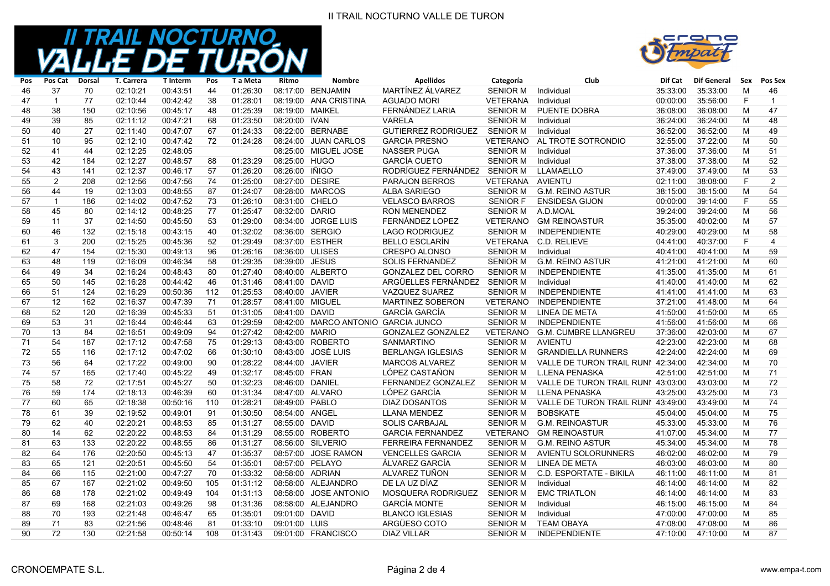### II TRAIL NOCTURNO VALLE DE TURON



| Pos | Pos Cat        | Dorsal | T. Carrera | <b>T</b> Interm | Pos | T a Meta | Ritmo           | <b>Nombre</b>                       | <b>Apellidos</b>           | Categoría       | Club                               | Dif Cat  | Dif General | Sex | Pos Sex        |
|-----|----------------|--------|------------|-----------------|-----|----------|-----------------|-------------------------------------|----------------------------|-----------------|------------------------------------|----------|-------------|-----|----------------|
| 46  | 37             | 70     | 02:10:21   | 00:43:51        | 44  | 01:26:30 |                 | 08:17:00 BENJAMIN                   | MARTÍNEZ ÁLVAREZ           | <b>SENIOR M</b> | Individual                         | 35:33:00 | 35:33:00    | M   | 46             |
| 47  | $\overline{1}$ | 77     | 02:10:44   | 00:42:42        | 38  | 01:28:01 |                 | 08:19:00 ANA CRISTINA               | <b>AGUADO MORI</b>         | <b>VETERANA</b> | Individual                         | 00:00:00 | 35:56:00    | F   | $\overline{1}$ |
| 48  | 38             | 150    | 02:10:56   | 00:45:17        | 48  | 01:25:39 | 08:19:00 MAIKEL |                                     | FERNÁNDEZ LARIA            | <b>SENIOR M</b> | PUENTE DOBRA                       | 36:08:00 | 36:08:00    | M   | 47             |
| 49  | 39             | 85     | 02:11:12   | 00:47:21        | 68  | 01:23:50 | 08:20:00 IVAN   |                                     | <b>VARELA</b>              | <b>SENIOR M</b> | Individual                         | 36:24:00 | 36:24:00    | M   | 48             |
| 50  | 40             | 27     | 02:11:40   | 00:47:07        | 67  | 01:24:33 |                 | 08:22:00 BERNABE                    | <b>GUTIERREZ RODRIGUEZ</b> | <b>SENIOR M</b> | Individual                         | 36:52:00 | 36:52:00    | M   | 49             |
| 51  | 10             | 95     | 02:12:10   | 00:47:42        | 72  | 01:24:28 |                 | 08:24:00 JUAN CARLOS                | <b>GARCIA PRESNO</b>       | <b>VETERANO</b> | AL TROTE SOTRONDIO                 | 32:55:00 | 37:22:00    | M   | 50             |
| 52  | 41             | 44     | 02:12:25   | 02:48:05        |     |          |                 | 08:25:00 MIGUEL JOSE                | <b>NASSER PUGA</b>         | <b>SENIOR M</b> | Individual                         | 37:36:00 | 37:36:00    | M   | 51             |
| 53  | 42             | 184    | 02:12:27   | 00:48:57        | 88  | 01:23:29 | 08:25:00 HUGO   |                                     | <b>GARCÍA CUETO</b>        | <b>SENIOR M</b> | Individual                         | 37:38:00 | 37:38:00    | M   | 52             |
| 54  | 43             | 141    | 02:12:37   | 00:46:17        | 57  | 01:26:20 | 08:26:00 IÑIGO  |                                     | RODRÍGUEZ FERNÁNDEZ        | <b>SENIOR M</b> | <b>LLAMAELLO</b>                   | 37:49:00 | 37:49:00    | M   | 53             |
| 55  | 2              | 208    | 02:12:56   | 00:47:56        | 74  | 01:25:00 | 08:27:00 DESIRE |                                     | <b>PARAJON BERROS</b>      | <b>VETERANA</b> | <b>AVIENTU</b>                     | 02:11:00 | 38:08:00    | F   | $\overline{2}$ |
| 56  | 44             | 19     | 02:13:03   | 00:48:55        | 87  | 01:24:07 |                 | 08:28:00 MARCOS                     | <b>ALBA SARIEGO</b>        | <b>SENIOR M</b> | <b>G.M. REINO ASTUR</b>            | 38:15:00 | 38:15:00    | M   | 54             |
| 57  | $\mathbf{1}$   | 186    | 02:14:02   | 00:47:52        | 73  | 01:26:10 | 08:31:00 CHELO  |                                     | <b>VELASCO BARROS</b>      | <b>SENIOR F</b> | <b>ENSIDESA GIJON</b>              | 00:00:00 | 39:14:00    | F   | 55             |
| 58  | 45             | 80     | 02:14:12   | 00:48:25        | 77  | 01:25:47 | 08:32:00 DARIO  |                                     | <b>RON MENENDEZ</b>        | <b>SENIOR M</b> | A.D.MOAL                           | 39:24:00 | 39:24:00    | M   | 56             |
| 59  | 11             | 37     | 02:14:50   | 00:45:50        | 53  | 01:29:00 |                 | 08:34:00 JORGE LUIS                 | FERNÁNDEZ LOPEZ            | VETERANO        | <b>GM REINOASTUR</b>               | 35:35:00 | 40:02:00    | M   | 57             |
| 60  | 46             | 132    | 02:15:18   | 00:43:15        | 40  | 01:32:02 |                 | 08:36:00 SERGIO                     | <b>LAGO RODRIGUEZ</b>      | <b>SENIOR M</b> | <b>INDEPENDIENTE</b>               | 40:29:00 | 40:29:00    | M   | 58             |
| 61  | 3              | 200    | 02:15:25   | 00:45:36        | 52  | 01:29:49 |                 | 08:37:00 ESTHER                     | <b>BELLO ESCLARÍN</b>      | <b>VETERANA</b> | C.D. RELIEVE                       | 04:41:00 | 40:37:00    | F   | $\overline{4}$ |
| 62  | 47             | 154    | 02:15:30   | 00:49:13        | 96  | 01:26:16 | 08:36:00 ULISES |                                     | <b>CRESPO ALONSO</b>       | <b>SENIOR M</b> | Individual                         | 40:41:00 | 40:41:00    | м   | 59             |
| 63  | 48             | 119    | 02:16:09   | 00:46:34        | 58  | 01:29:35 | 08:39:00 JESUS  |                                     | <b>SOLIS FERNANDEZ</b>     | <b>SENIOR M</b> | <b>G.M. REINO ASTUR</b>            | 41:21:00 | 41:21:00    | M   | 60             |
| 64  | 49             | 34     | 02:16:24   | 00:48:43        | 80  | 01:27:40 |                 | 08:40:00 ALBERTO                    | <b>GONZALEZ DEL CORRO</b>  | <b>SENIOR M</b> | <b>INDEPENDIENTE</b>               | 41:35:00 | 41:35:00    | M   | 61             |
| 65  | 50             | 145    | 02:16:28   | 00:44:42        | 46  | 01:31:46 | 08:41:00 DAVID  |                                     | ARGÜELLES FERNÁNDEZ        | <b>SENIOR M</b> | Individual                         | 41:40:00 | 41:40:00    | M   | 62             |
| 66  | 51             | 124    | 02:16:29   | 00:50:36        | 112 | 01:25:53 | 08:40:00 JAVIER |                                     | VAZQUEZ SUAREZ             | <b>SENIOR M</b> | <b>INDEPENDIENTE</b>               | 41:41:00 | 41:41:00    | M   | 63             |
| 67  | 12             | 162    | 02:16:37   | 00:47:39        | 71  | 01:28:57 | 08:41:00 MIGUEL |                                     | MARTINEZ SOBERON           | <b>VETERANO</b> | <b>INDEPENDIENTE</b>               | 37:21:00 | 41:48:00    | M   | 64             |
| 68  | 52             | 120    | 02:16:39   | 00:45:33        | 51  | 01:31:05 | 08:41:00 DAVID  |                                     | <b>GARCÍA GARCÍA</b>       | <b>SENIOR M</b> | <b>LINEA DE META</b>               | 41:50:00 | 41:50:00    | M   | 65             |
| 69  | 53             | 31     | 02:16:44   | 00:46:44        | 63  | 01:29:59 |                 | 08:42:00 MARCO ANTONIO GARCIA JUNCO |                            | <b>SENIOR M</b> | <b>INDEPENDIENTE</b>               | 41:56:00 | 41:56:00    | M   | 66             |
| 70  | 13             | 84     | 02:16:51   | 00:49:09        | 94  | 01:27:42 | 08:42:00 MARIO  |                                     | <b>GONZALEZ GONZALEZ</b>   | <b>VETERANO</b> | <b>G.M. CUMBRE LLANGREU</b>        | 37:36:00 | 42:03:00    | M   | 67             |
| 71  | 54             | 187    | 02:17:12   | 00:47:58        | 75  | 01:29:13 |                 | 08:43:00 ROBERTO                    | <b>SANMARTINO</b>          | <b>SENIOR M</b> | <b>AVIENTU</b>                     | 42:23:00 | 42:23:00    | M   | 68             |
| 72  | 55             | 116    | 02:17:12   | 00:47:02        | 66  | 01:30:10 |                 | 08:43:00 JOSÉ LUIS                  | <b>BERLANGA IGLESIAS</b>   | <b>SENIOR M</b> | <b>GRANDIELLA RUNNERS</b>          | 42:24:00 | 42:24:00    | M   | 69             |
| 73  | 56             | 64     | 02:17:22   | 00:49:00        | 90  | 01:28:22 | 08:44:00 JAVIER |                                     | <b>MARCOS ALVAREZ</b>      | <b>SENIOR M</b> | VALLE DE TURON TRAIL RUNI 42:34:00 |          | 42:34:00    | M   | 70             |
| 74  | 57             | 165    | 02:17:40   | 00:45:22        | 49  | 01:32:17 | 08:45:00 FRAN   |                                     | LÓPEZ CASTAÑON             | <b>SENIOR M</b> | <b>L.LENA PENASKA</b>              | 42:51:00 | 42:51:00    | M   | 71             |
| 75  | 58             | 72     | 02:17:51   | 00:45:27        | 50  | 01:32:23 | 08:46:00 DANIEL |                                     | FERNANDEZ GONZALEZ         | <b>SENIOR M</b> | VALLE DE TURON TRAIL RUNI 43:03:00 |          | 43:03:00    | M   | 72             |
| 76  | 59             | 174    | 02:18:13   | 00:46:39        | 60  | 01:31:34 |                 | 08:47:00 ALVARO                     | LÓPEZ GARCÍA               | <b>SENIOR M</b> | <b>LLENA PENASKA</b>               | 43:25:00 | 43:25:00    | M   | 73             |
| 77  | 60             | 65     | 02:18:38   | 00:50:16        | 110 | 01:28:21 | 08:49:00 PABLO  |                                     | <b>DIAZ DOSANTOS</b>       | <b>SENIOR M</b> | VALLE DE TURON TRAIL RUNI 43:49:00 |          | 43:49:00    | M   | 74             |
| 78  | 61             | 39     | 02:19:52   | 00:49:01        | 91  | 01:30:50 | 08:54:00 ANGEL  |                                     | LLANA MENDEZ               | <b>SENIOR M</b> | <b>BOBSKATE</b>                    | 45:04:00 | 45:04:00    | M   | 75             |
| 79  | 62             | 40     | 02:20:21   | 00:48:53        | 85  | 01:31:27 | 08:55:00 DAVID  |                                     | <b>SOLIS CARBAJAL</b>      | <b>SENIOR M</b> | <b>G.M. REINOASTUR</b>             | 45:33:00 | 45:33:00    | M   | 76             |
| 80  | 14             | 62     | 02:20:22   | 00:48:53        | 84  | 01:31:29 |                 | 08:55:00 ROBERTO                    | <b>GARCIA FERNANDEZ</b>    | <b>VETERANO</b> | <b>GM REINOASTUR</b>               | 41:07:00 | 45:34:00    | M   | 77             |
| 81  | 63             | 133    | 02:20:22   | 00:48:55        | 86  | 01:31:27 |                 | 08:56:00 SILVERIO                   | FERREIRA FERNANDEZ         | <b>SENIOR M</b> | <b>G.M. REINO ASTUR</b>            | 45:34:00 | 45:34:00    | M   | 78             |
| 82  | 64             | 176    | 02:20:50   | 00:45:13        | 47  | 01:35:37 |                 | 08:57:00 JOSE RAMON                 | <b>VENCELLES GARCIA</b>    | <b>SENIOR M</b> | <b>AVIENTU SOLORUNNERS</b>         | 46:02:00 | 46:02:00    | M   | 79             |
| 83  | 65             | 121    | 02:20:51   | 00:45:50        | 54  | 01:35:01 |                 | 08:57:00 PELAYO                     | ÁLVAREZ GARCÍA             | <b>SENIOR M</b> | <b>LINEA DE META</b>               | 46:03:00 | 46:03:00    | M   | 80             |
| 84  | 66             | 115    | 02:21:00   | 00:47:27        | 70  | 01:33:32 |                 | 08:58:00 ADRIAN                     | ALVAREZ TUÑON              | <b>SENIOR M</b> | C.D. ESPORTATE - BIKILA            | 46:11:00 | 46:11:00    | M   | 81             |
| 85  | 67             | 167    | 02:21:02   | 00:49:50        | 105 | 01:31:12 |                 | 08:58:00 ALEJANDRO                  | DE LA UZ DÍAZ              | <b>SENIOR M</b> | Individual                         | 46:14:00 | 46:14:00    | M   | 82             |
| 86  | 68             | 178    | 02:21:02   | 00:49:49        | 104 | 01:31:13 |                 | 08:58:00 JOSE ANTONIO               | MOSQUERA RODRIGUEZ         | <b>SENIOR M</b> | <b>EMC TRIATLON</b>                | 46:14:00 | 46:14:00    | M   | 83             |
| 87  | 69             | 168    | 02:21:03   | 00:49:26        | 98  | 01:31:36 |                 | 08:58:00 ALEJANDRO                  | <b>GARCÍA MONTE</b>        | <b>SENIOR M</b> | Individual                         | 46:15:00 | 46:15:00    | M   | 84             |
| 88  | 70             | 193    | 02:21:48   | 00:46:47        | 65  | 01:35:01 | 09:01:00 DAVID  |                                     | <b>BLANCO IGLESIAS</b>     | <b>SENIOR M</b> | Individual                         | 47:00:00 | 47:00:00    | M   | 85             |
| 89  | 71             | 83     | 02:21:56   | 00:48:46        | 81  | 01:33:10 | 09:01:00 LUIS   |                                     | ARGÜESO COTO               | <b>SENIOR M</b> | <b>TEAM OBAYA</b>                  | 47:08:00 | 47:08:00    | M   | 86             |
| 90  | 72             | 130    | 02:21:58   | 00:50:14        | 108 | 01:31:43 |                 | 09:01:00 FRANCISCO                  | <b>DIAZ VILLAR</b>         | <b>SENIOR M</b> | <b>INDEPENDIENTE</b>               | 47:10:00 | 47:10:00    | M   | 87             |
|     |                |        |            |                 |     |          |                 |                                     |                            |                 |                                    |          |             |     |                |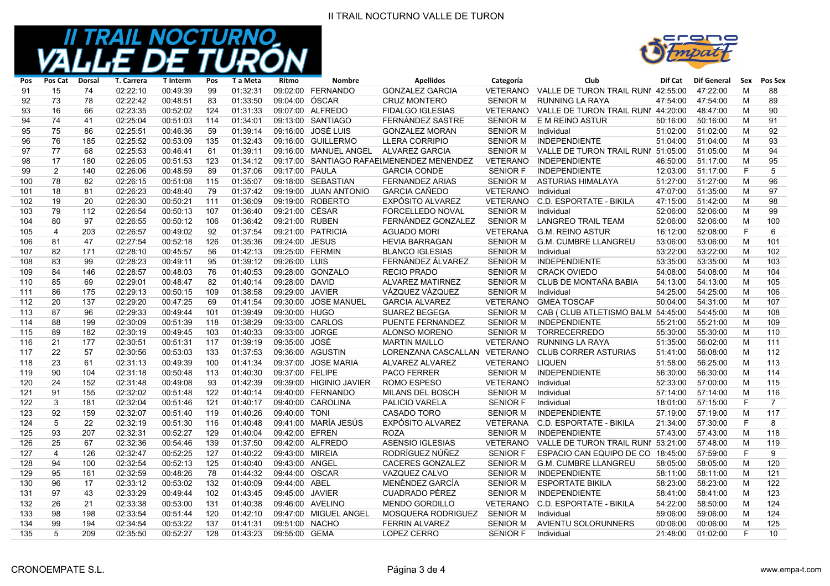

| Pos | Pos Cat        | <b>Dorsal</b> | <b>T. Carrera</b> | <b>T</b> Interm | Pos | T a Meta | <b>Ritmo</b>    | <b>Nombre</b>           | <b>Apellidos</b>                          | Categoría       | Club                               | Dif Cat  | <b>Dif General</b> | Sex | Pos Sex        |
|-----|----------------|---------------|-------------------|-----------------|-----|----------|-----------------|-------------------------|-------------------------------------------|-----------------|------------------------------------|----------|--------------------|-----|----------------|
| 91  | 15             | 74            | 02:22:10          | 00:49:39        | 99  | 01:32:31 |                 | 09:02:00 FERNANDO       | <b>GONZALEZ GARCIA</b>                    | VETERANO        | VALLE DE TURON TRAIL RUNI 42:55:00 |          | 47:22:00           | M   | 88             |
| 92  | 73             | 78            | 02:22:42          | 00:48:51        | 83  | 01:33:50 | 09:04:00 ÓSCAR  |                         | <b>CRUZ MONTERO</b>                       | <b>SENIOR M</b> | <b>RUNNING LA RAYA</b>             | 47:54:00 | 47:54:00           | M   | 89             |
| 93  | 16             | 66            | 02:23:35          | 00:52:02        | 124 | 01:31:33 |                 | 09:07:00 ALFREDO        | <b>FIDALGO IGLESIAS</b>                   | VETERANO        | VALLE DE TURON TRAIL RUNI 44:20:00 |          | 48:47:00           | M   | 90             |
| 94  | 74             | 41            | 02:25:04          | 00:51:03        | 114 | 01:34:01 |                 | 09:13:00 SANTIAGO       | FERNÁNDEZ SASTRE                          | <b>SENIOR M</b> | E M REINO ASTUR                    | 50:16:00 | 50:16:00           | м   | 91             |
| 95  | 75             | 86            | 02:25:51          | 00:46:36        | 59  | 01:39:14 |                 | 09:16:00 JOSÉ LUIS      | <b>GONZALEZ MORAN</b>                     | <b>SENIOR M</b> | Individual                         | 51:02:00 | 51:02:00           | M   | 92             |
| 96  | 76             | 185           | 02:25:52          | 00:53:09        | 135 | 01:32:43 |                 | 09:16:00 GUILLERMO      | <b>LLERA CORRIPIO</b>                     | <b>SENIOR M</b> | <b>INDEPENDIENTE</b>               | 51:04:00 | 51:04:00           | M   | 93             |
| 97  | 77             | 68            | 02:25:53          | 00:46:41        | 61  | 01:39:11 |                 | 09:16:00 MANUEL ANGEL   | <b>ALVAREZ GARCIA</b>                     | <b>SENIOR M</b> | VALLE DE TURON TRAIL RUNI 51:05:00 |          | 51:05:00           | M   | 94             |
| 98  | 17             | 180           | 02:26:05          | 00:51:53        | 123 | 01:34:12 |                 |                         | 09:17:00 SANTIAGO RAFAEIMENENDEZ MENENDEZ | <b>VETERANO</b> | <b>INDEPENDIENTE</b>               | 46:50:00 | 51:17:00           | M   | 95             |
| 99  | $\overline{2}$ | 140           | 02:26:06          | 00:48:59        | 89  | 01:37:06 | 09:17:00 PAULA  |                         | <b>GARCIA CONDE</b>                       | <b>SENIOR F</b> | <b>INDEPENDIENTE</b>               | 12:03:00 | 51:17:00           | F   | 5              |
| 100 | 78             | 82            | 02:26:15          | 00:51:08        | 115 | 01:35:07 |                 | 09:18:00 SEBASTIAN      | <b>FERNANDEZ ARIAS</b>                    | <b>SENIOR M</b> | ASTURIAS HIMALAYA                  | 51:27:00 | 51:27:00           | M   | 96             |
| 101 | 18             | 81            | 02:26:23          | 00:48:40        | 79  | 01:37:42 |                 | 09:19:00 JUAN ANTONIO   | <b>GARCIA CAÑEDO</b>                      | VETERANO        | Individual                         | 47:07:00 | 51:35:00           | M   | 97             |
| 102 | 19             | 20            | 02:26:30          | 00:50:21        | 111 | 01:36:09 |                 | 09:19:00 ROBERTO        | EXPÓSITO ALVAREZ                          | <b>VETERANO</b> | C.D. ESPORTATE - BIKILA            | 47:15:00 | 51:42:00           | M   | 98             |
| 103 | 79             | 112           | 02:26:54          | 00:50:13        | 107 | 01:36:40 | 09:21:00 CÉSAR  |                         | FORCELLEDO NOVAL                          | <b>SENIOR M</b> | Individual                         | 52:06:00 | 52:06:00           | M   | 99             |
| 104 | 80             | 97            | 02:26:55          | 00:50:12        | 106 | 01:36:42 | 09:21:00 RUBEN  |                         | FERNÁNDEZ GONZALEZ                        | <b>SENIOR M</b> | <b>LANGREO TRAIL TEAM</b>          | 52:06:00 | 52:06:00           | M   | 100            |
| 105 | 4              | 203           | 02:26:57          | 00:49:02        | 92  | 01:37:54 |                 | 09:21:00 PATRICIA       | <b>AGUADO MORI</b>                        | <b>VETERANA</b> | <b>G.M. REINO ASTUR</b>            | 16:12:00 | 52:08:00           | E   | 6              |
| 106 | 81             | 47            | 02:27:54          | 00:52:18        | 126 | 01:35:36 | 09:24:00 JESUS  |                         | <b>HEVIA BARRAGAN</b>                     | <b>SENIOR M</b> | <b>G.M. CUMBRE LLANGREU</b>        | 53:06:00 | 53:06:00           | M   | 101            |
| 107 | 82             | 171           | 02:28:10          | 00:45:57        | 56  | 01:42:13 |                 | 09:25:00 FERMIN         | <b>BLANCO IGLESIAS</b>                    | <b>SENIOR M</b> | Individual                         | 53:22:00 | 53:22:00           | м   | 102            |
| 108 | 83             | 99            | 02:28:23          | 00:49:11        | 95  | 01:39:12 | 09:26:00 LUIS   |                         | FERNÁNDEZ ÁLVAREZ                         | <b>SENIOR M</b> | <b>INDEPENDIENTE</b>               | 53:35:00 | 53:35:00           | M   | 103            |
| 109 | 84             | 146           | 02:28:57          | 00:48:03        | 76  | 01:40:53 |                 | 09:28:00 GONZALO        | <b>RECIO PRADO</b>                        | <b>SENIOR M</b> | <b>CRACK OVIEDO</b>                | 54:08:00 | 54:08:00           | м   | 104            |
| 110 | 85             | 69            | 02:29:01          | 00:48:47        | 82  | 01:40:14 | 09:28:00 DAVID  |                         | <b>ALVAREZ MATIRNEZ</b>                   | <b>SENIOR M</b> | CLUB DE MONTAÑA BABIA              | 54:13:00 | 54:13:00           | M   | 105            |
| 111 | 86             | 175           | 02:29:13          | 00:50:15        | 109 | 01:38:58 | 09:29:00 JAVIER |                         | VÁZQUEZ VÁZQUEZ                           | <b>SENIOR M</b> | Individual                         | 54:25:00 | 54:25:00           | M   | 106            |
| 112 | 20             | 137           | 02:29:20          | 00:47:25        | 69  | 01:41:54 |                 | 09:30:00 JOSE MANUEL    | <b>GARCIA ALVAREZ</b>                     | VETERANO        | <b>GMEA TOSCAF</b>                 | 50:04:00 | 54:31:00           | M   | 107            |
| 113 | 87             | 96            | 02:29:33          | 00:49:44        | 101 | 01:39:49 | 09:30:00 HUGO   |                         | <b>SUAREZ BEGEGA</b>                      | <b>SENIOR M</b> | CAB (CLUB ATLETISMO BALM 54:45:00  |          | 54:45:00           | M   | 108            |
| 114 | 88             | 199           | 02:30:09          | 00:51:39        | 118 | 01:38:29 |                 | 09:33:00 CARLOS         | PUENTE FERNANDEZ                          | <b>SENIOR M</b> | <b>INDEPENDIENTE</b>               | 55:21:00 | 55:21:00           | M   | 109            |
| 115 | 89             | 182           | 02:30:19          | 00:49:45        | 103 | 01:40:33 | 09:33:00 JORGE  |                         | ALONSO MORENO                             | <b>SENIOR M</b> | <b>TORRECERREDO</b>                | 55:30:00 | 55:30:00           | M   | 110            |
| 116 | 21             | 177           | 02:30:51          | 00:51:31        | 117 | 01:39:19 | 09:35:00 JOSÉ   |                         | <b>MARTIN MAILLO</b>                      | VETERANO        | <b>RUNNING LA RAYA</b>             | 51:35:00 | 56:02:00           | M   | 111            |
| 117 | 22             | 57            | 02:30:56          | 00:53:03        | 133 | 01:37:53 |                 | 09:36:00 AGUSTIN        | LORENZANA CASCALLAN                       | VETERANO        | <b>CLUB CORRER ASTURIAS</b>        | 51:41:00 | 56:08:00           | M   | 112            |
| 118 | 23             | 61            | 02:31:13          | 00:49:39        | 100 | 01:41:34 |                 | 09:37:00 JOSE MARIA     | ALVAREZ ALVAREZ                           | VETERANO        | <b>LIQUEN</b>                      | 51:58:00 | 56:25:00           | M   | 113            |
| 119 | 90             | 104           | 02:31:18          | 00:50:48        | 113 | 01:40:30 | 09:37:00 FELIPE |                         | <b>PACO FERRER</b>                        | <b>SENIOR M</b> | <b>INDEPENDIENTE</b>               | 56:30:00 | 56:30:00           | M   | 114            |
| 120 | 24             | 152           | 02:31:48          | 00:49:08        | 93  | 01:42:39 |                 | 09:39:00 HIGINIO JAVIER | ROMO ESPESO                               | <b>VETERANO</b> | Individual                         | 52:33:00 | 57:00:00           | M   | 115            |
| 121 | 91             | 155           | 02:32:02          | 00:51:48        | 122 | 01:40:14 |                 | 09:40:00 FERNANDO       | MILANS DEL BOSCH                          | <b>SENIOR M</b> | Individual                         | 57:14:00 | 57:14:00           | M   | 116            |
| 122 | 3              | 181           | 02:32:04          | 00:51:46        | 121 | 01:40:17 |                 | 09:40:00 CAROLINA       | PALICIO VARELA                            | <b>SENIOR F</b> | Individual                         | 18:01:00 | 57:15:00           | E   | $\overline{7}$ |
| 123 | 92             | 159           | 02:32:07          | 00:51:40        | 119 | 01:40:26 | 09:40:00 TONI   |                         | CASADO TORO                               | <b>SENIOR M</b> | <b>INDEPENDIENTE</b>               | 57:19:00 | 57:19:00           | M   | 117            |
| 124 | 5              | 22            | 02:32:19          | 00:51:30        | 116 | 01:40:48 |                 | 09:41:00 MARÍA JESÚS    | EXPÓSITO ALVAREZ                          | <b>VETERANA</b> | <b>C.D. ESPORTATE - BIKILA</b>     | 21:34:00 | 57:30:00           | F   | 8              |
| 125 | 93             | 207           | 02:32:31          | 00:52:27        | 129 | 01:40:04 | 09:42:00 EFREN  |                         | <b>ROZA</b>                               | <b>SENIOR M</b> | <b>INDEPENDIENTE</b>               | 57:43:00 | 57:43:00           | M   | 118            |
| 126 | 25             | 67            | 02:32:36          | 00:54:46        | 139 | 01:37:50 |                 | 09:42:00 ALFREDO        | <b>ASENSIO IGLESIAS</b>                   | <b>VETERANO</b> | VALLE DE TURON TRAIL RUNI 53:21:00 |          | 57:48:00           | M   | 119            |
| 127 | 4              | 126           | 02:32:47          | 00:52:25        | 127 | 01:40:22 | 09:43:00 MIREIA |                         | RODRÍGUEZ NÚÑEZ                           | <b>SENIOR F</b> | ESPACIO CAN EQUIPO DE CO 18:45:00  |          | 57:59:00           | E   | 9              |
| 128 | 94             | 100           | 02:32:54          | 00:52:13        | 125 | 01:40:40 | 09:43:00 ANGEL  |                         | <b>CACERES GONZALEZ</b>                   | <b>SENIOR M</b> | <b>G.M. CUMBRE LLANGREU</b>        | 58:05:00 | 58:05:00           | M   | 120            |
| 129 | 95             | 161           | 02:32:59          | 00:48:26        | 78  | 01.44.32 | 09:44:00 OSCAR  |                         | VAZQUEZ CALVO                             | <b>SENIOR M</b> | <b>INDEPENDIENTE</b>               | 58:11:00 | 58:11:00           | M   | 121            |
| 130 | 96             | 17            | 02:33:12          | 00:53:02        | 132 | 01:40:09 | 09:44:00 ABEL   |                         | MENÉNDEZ GARCÍA                           | <b>SENIOR M</b> | <b>ESPORTATE BIKILA</b>            | 58:23:00 | 58:23:00           | M   | 122            |
| 131 | 97             | 43            | 02:33:29          | 00:49:44        | 102 | 01:43:45 | 09:45:00 JAVIER |                         | <b>CUADRADO PÉREZ</b>                     | <b>SENIOR M</b> | <b>INDEPENDIENTE</b>               | 58:41:00 | 58:41:00           | M   | 123            |
| 132 | 26             | 21            | 02:33:38          | 00:53:00        | 131 | 01:40:38 |                 | 09:46:00 AVELINO        | <b>MENDO GORDILLO</b>                     | VETERANO        | <b>C.D. ESPORTATE - BIKILA</b>     | 54:22:00 | 58:50:00           | M   | 124            |
| 133 | 98             | 198           | 02:33:54          | 00:51:44        | 120 | 01:42:10 |                 | 09:47:00 MIGUEL ANGEL   | MOSQUERA RODRIGUEZ                        | <b>SENIOR M</b> | Individual                         | 59:06:00 | 59:06:00           | M   | 124            |
| 134 | 99             | 194           | 02:34:54          | 00:53:22        | 137 | 01:41:31 | 09:51:00 NACHO  |                         | <b>FERRIN ALVAREZ</b>                     | <b>SENIOR M</b> | <b>AVIENTU SOLORUNNERS</b>         | 00:06:00 | 00:06:00           | M   | 125            |
| 135 | 5              | 209           | 02:35:50          | 00:52:27        | 128 | 01:43:23 | 09:55:00 GEMA   |                         | LOPEZ CERRO                               | <b>SENIOR F</b> | Individual                         | 21:48:00 | 01:02:00           | F   | 10             |
|     |                |               |                   |                 |     |          |                 |                         |                                           |                 |                                    |          |                    |     |                |